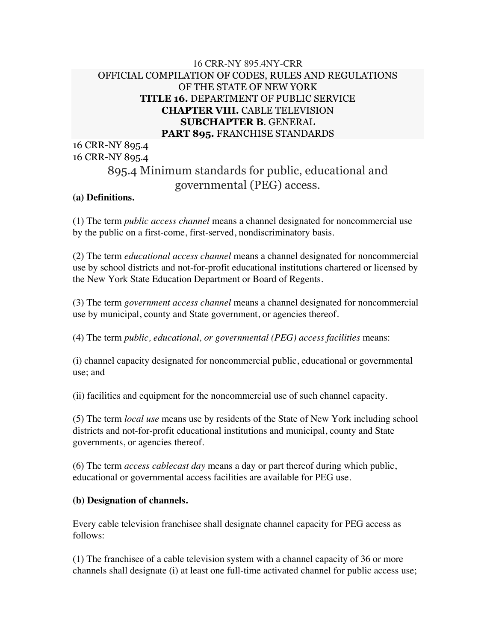## 16 CRR-NY 895.4NY-CRR OFFICIAL COMPILATION OF CODES, RULES AND REGULATIONS OF THE STATE OF NEW YORK **TITLE 16.** DEPARTMENT OF PUBLIC SERVICE **CHAPTER VIII.** CABLE TELEVISION **SUBCHAPTER B**. GENERAL **PART 895.** FRANCHISE STANDARDS

16 CRR-NY 895.4 16 CRR-NY 895.4

# 895.4 Minimum standards for public, educational and governmental (PEG) access.

#### **(a) Definitions.**

(1) The term *public access channel* means a channel designated for noncommercial use by the public on a first-come, first-served, nondiscriminatory basis.

(2) The term *educational access channel* means a channel designated for noncommercial use by school districts and not-for-profit educational institutions chartered or licensed by the New York State Education Department or Board of Regents.

(3) The term *government access channel* means a channel designated for noncommercial use by municipal, county and State government, or agencies thereof.

(4) The term *public, educational, or governmental (PEG) access facilities* means:

(i) channel capacity designated for noncommercial public, educational or governmental use; and

(ii) facilities and equipment for the noncommercial use of such channel capacity.

(5) The term *local use* means use by residents of the State of New York including school districts and not-for-profit educational institutions and municipal, county and State governments, or agencies thereof.

(6) The term *access cablecast day* means a day or part thereof during which public, educational or governmental access facilities are available for PEG use.

#### **(b) Designation of channels.**

Every cable television franchisee shall designate channel capacity for PEG access as follows:

(1) The franchisee of a cable television system with a channel capacity of 36 or more channels shall designate (i) at least one full-time activated channel for public access use;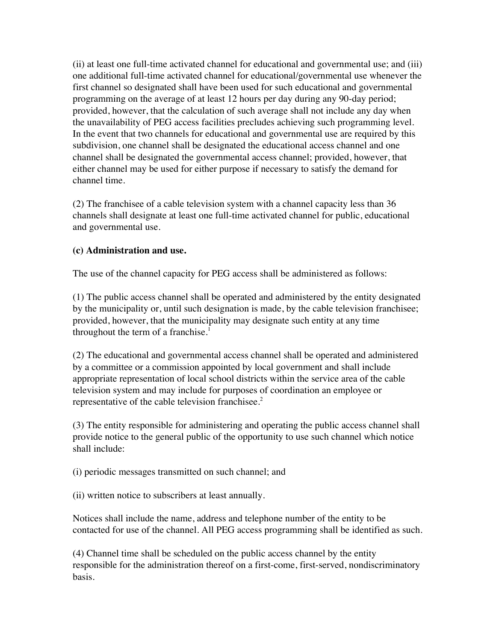(ii) at least one full-time activated channel for educational and governmental use; and (iii) one additional full-time activated channel for educational/governmental use whenever the first channel so designated shall have been used for such educational and governmental programming on the average of at least 12 hours per day during any 90-day period; provided, however, that the calculation of such average shall not include any day when the unavailability of PEG access facilities precludes achieving such programming level. In the event that two channels for educational and governmental use are required by this subdivision, one channel shall be designated the educational access channel and one channel shall be designated the governmental access channel; provided, however, that either channel may be used for either purpose if necessary to satisfy the demand for channel time.

(2) The franchisee of a cable television system with a channel capacity less than 36 channels shall designate at least one full-time activated channel for public, educational and governmental use.

#### **(c) Administration and use.**

The use of the channel capacity for PEG access shall be administered as follows:

(1) The public access channel shall be operated and administered by the entity designated by the municipality or, until such designation is made, by the cable television franchisee; provided, however, that the municipality may designate such entity at any time throughout the term of a franchise. $<sup>1</sup>$ </sup>

(2) The educational and governmental access channel shall be operated and administered by a committee or a commission appointed by local government and shall include appropriate representation of local school districts within the service area of the cable television system and may include for purposes of coordination an employee or representative of the cable television franchises.<sup>2</sup>

(3) The entity responsible for administering and operating the public access channel shall provide notice to the general public of the opportunity to use such channel which notice shall include:

(i) periodic messages transmitted on such channel; and

(ii) written notice to subscribers at least annually.

Notices shall include the name, address and telephone number of the entity to be contacted for use of the channel. All PEG access programming shall be identified as such.

(4) Channel time shall be scheduled on the public access channel by the entity responsible for the administration thereof on a first-come, first-served, nondiscriminatory basis.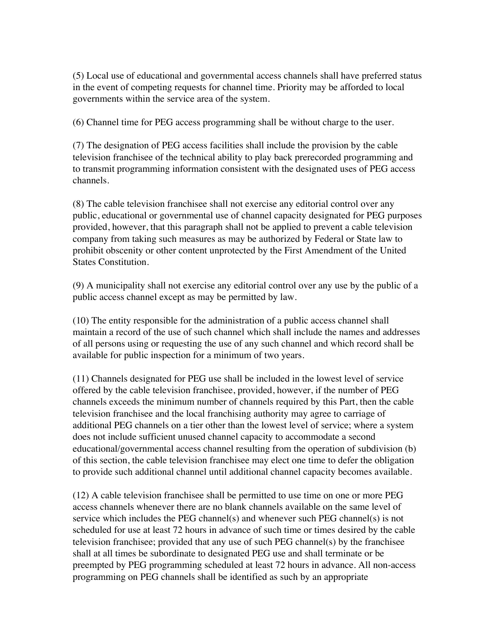(5) Local use of educational and governmental access channels shall have preferred status in the event of competing requests for channel time. Priority may be afforded to local governments within the service area of the system.

(6) Channel time for PEG access programming shall be without charge to the user.

(7) The designation of PEG access facilities shall include the provision by the cable television franchisee of the technical ability to play back prerecorded programming and to transmit programming information consistent with the designated uses of PEG access channels.

(8) The cable television franchisee shall not exercise any editorial control over any public, educational or governmental use of channel capacity designated for PEG purposes provided, however, that this paragraph shall not be applied to prevent a cable television company from taking such measures as may be authorized by Federal or State law to prohibit obscenity or other content unprotected by the First Amendment of the United States Constitution.

(9) A municipality shall not exercise any editorial control over any use by the public of a public access channel except as may be permitted by law.

(10) The entity responsible for the administration of a public access channel shall maintain a record of the use of such channel which shall include the names and addresses of all persons using or requesting the use of any such channel and which record shall be available for public inspection for a minimum of two years.

(11) Channels designated for PEG use shall be included in the lowest level of service offered by the cable television franchisee, provided, however, if the number of PEG channels exceeds the minimum number of channels required by this Part, then the cable television franchisee and the local franchising authority may agree to carriage of additional PEG channels on a tier other than the lowest level of service; where a system does not include sufficient unused channel capacity to accommodate a second educational/governmental access channel resulting from the operation of subdivision (b) of this section, the cable television franchisee may elect one time to defer the obligation to provide such additional channel until additional channel capacity becomes available.

(12) A cable television franchisee shall be permitted to use time on one or more PEG access channels whenever there are no blank channels available on the same level of service which includes the PEG channel(s) and whenever such PEG channel(s) is not scheduled for use at least 72 hours in advance of such time or times desired by the cable television franchisee; provided that any use of such PEG channel(s) by the franchisee shall at all times be subordinate to designated PEG use and shall terminate or be preempted by PEG programming scheduled at least 72 hours in advance. All non-access programming on PEG channels shall be identified as such by an appropriate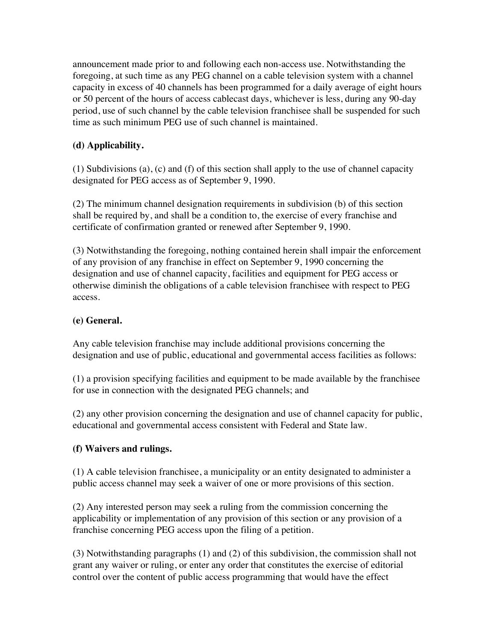announcement made prior to and following each non-access use. Notwithstanding the foregoing, at such time as any PEG channel on a cable television system with a channel capacity in excess of 40 channels has been programmed for a daily average of eight hours or 50 percent of the hours of access cablecast days, whichever is less, during any 90-day period, use of such channel by the cable television franchisee shall be suspended for such time as such minimum PEG use of such channel is maintained.

# **(d) Applicability.**

(1) Subdivisions (a), (c) and (f) of this section shall apply to the use of channel capacity designated for PEG access as of September 9, 1990.

(2) The minimum channel designation requirements in subdivision (b) of this section shall be required by, and shall be a condition to, the exercise of every franchise and certificate of confirmation granted or renewed after September 9, 1990.

(3) Notwithstanding the foregoing, nothing contained herein shall impair the enforcement of any provision of any franchise in effect on September 9, 1990 concerning the designation and use of channel capacity, facilities and equipment for PEG access or otherwise diminish the obligations of a cable television franchisee with respect to PEG access.

### **(e) General.**

Any cable television franchise may include additional provisions concerning the designation and use of public, educational and governmental access facilities as follows:

(1) a provision specifying facilities and equipment to be made available by the franchisee for use in connection with the designated PEG channels; and

(2) any other provision concerning the designation and use of channel capacity for public, educational and governmental access consistent with Federal and State law.

#### **(f) Waivers and rulings.**

(1) A cable television franchisee, a municipality or an entity designated to administer a public access channel may seek a waiver of one or more provisions of this section.

(2) Any interested person may seek a ruling from the commission concerning the applicability or implementation of any provision of this section or any provision of a franchise concerning PEG access upon the filing of a petition.

(3) Notwithstanding paragraphs (1) and (2) of this subdivision, the commission shall not grant any waiver or ruling, or enter any order that constitutes the exercise of editorial control over the content of public access programming that would have the effect